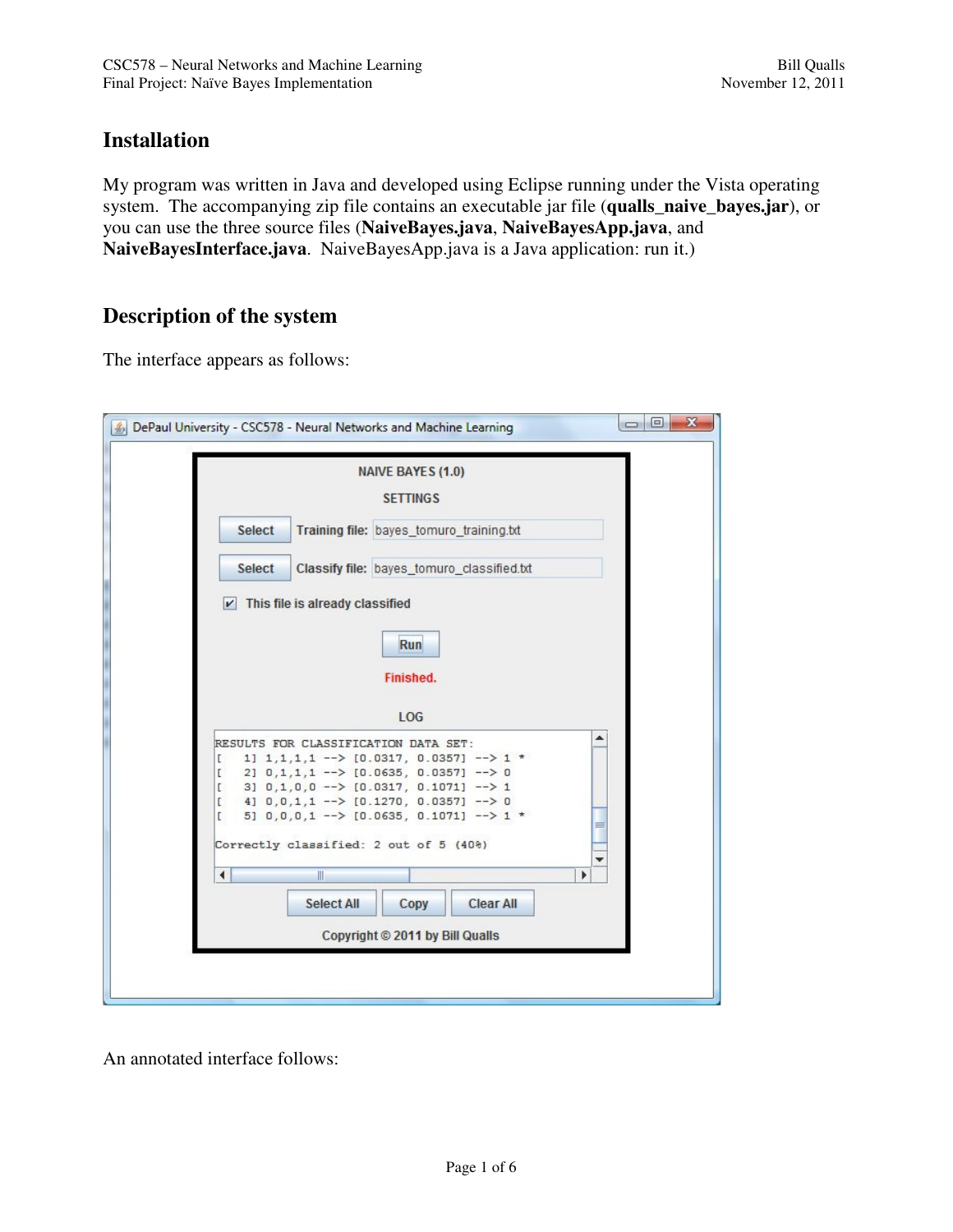# **Installation**

My program was written in Java and developed using Eclipse running under the Vista operating system. The accompanying zip file contains an executable jar file (**qualls\_naive\_bayes.jar**), or you can use the three source files (**NaiveBayes.java**, **NaiveBayesApp.java**, and **NaiveBayesInterface.java**. NaiveBayesApp.java is a Java application: run it.)

## **Description of the system**

The interface appears as follows:

| $\mathbf{x}$<br>▣<br>$\qquad \qquad \Box$<br>DePaul University - CSC578 - Neural Networks and Machine Learning                                                                                                                                                                                                         |
|------------------------------------------------------------------------------------------------------------------------------------------------------------------------------------------------------------------------------------------------------------------------------------------------------------------------|
| <b>NAIVE BAYES (1.0)</b>                                                                                                                                                                                                                                                                                               |
| <b>SETTINGS</b>                                                                                                                                                                                                                                                                                                        |
| <b>Select</b><br>Training file: bayes_tomuro_training.txt                                                                                                                                                                                                                                                              |
| Classify file: bayes_tomuro_classified.txt<br><b>Select</b>                                                                                                                                                                                                                                                            |
| This file is already classified<br>$\vert \nu \vert$                                                                                                                                                                                                                                                                   |
| Run                                                                                                                                                                                                                                                                                                                    |
| Finished.                                                                                                                                                                                                                                                                                                              |
| LOG                                                                                                                                                                                                                                                                                                                    |
| RESULTS FOR CLASSIFICATION DATA SET:<br>1] $1,1,1,1 \rightarrow -\$ [0.0317, 0.0357] $\rightarrow 1$ *<br>E.<br>2] 0,1,1,1 --> [0.0635, 0.0357] --> 0<br>D<br>3] $0,1,0,0$ --> $[0.0317, 0.1071]$ --> 1<br>L<br>4] $0,0,1,1$ --> $[0.1270, 0.0357]$ --> 0<br>D<br>5] $0,0,0,1$ --> [0.0635, 0.1071] --> 1 *<br>E.<br>≡ |
| Correctly classified: 2 out of 5 (40%)                                                                                                                                                                                                                                                                                 |
| $\blacktriangleleft$<br>$\mathbb{I}$<br>٠                                                                                                                                                                                                                                                                              |
| <b>Select All</b><br><b>Clear All</b><br>Copy                                                                                                                                                                                                                                                                          |
| Copyright © 2011 by Bill Qualls                                                                                                                                                                                                                                                                                        |
|                                                                                                                                                                                                                                                                                                                        |
|                                                                                                                                                                                                                                                                                                                        |

An annotated interface follows: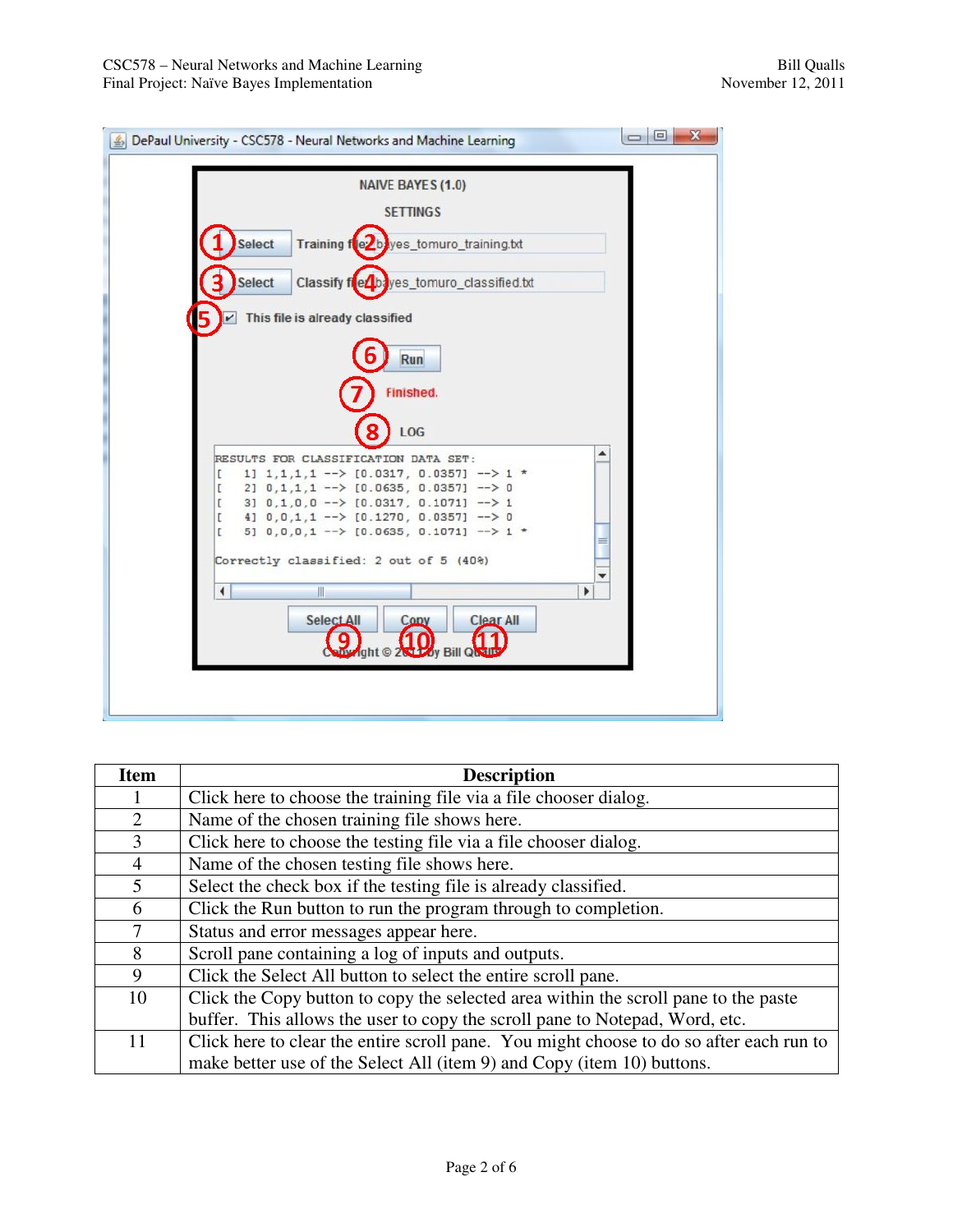

| <b>Item</b>    | <b>Description</b>                                                                      |
|----------------|-----------------------------------------------------------------------------------------|
|                | Click here to choose the training file via a file chooser dialog.                       |
| 2              | Name of the chosen training file shows here.                                            |
| 3              | Click here to choose the testing file via a file chooser dialog.                        |
| $\overline{4}$ | Name of the chosen testing file shows here.                                             |
| $\mathfrak{S}$ | Select the check box if the testing file is already classified.                         |
| 6              | Click the Run button to run the program through to completion.                          |
| 7              | Status and error messages appear here.                                                  |
| 8              | Scroll pane containing a log of inputs and outputs.                                     |
| 9              | Click the Select All button to select the entire scroll pane.                           |
| 10             | Click the Copy button to copy the selected area within the scroll pane to the paste     |
|                | buffer. This allows the user to copy the scroll pane to Notepad, Word, etc.             |
| 11             | Click here to clear the entire scroll pane. You might choose to do so after each run to |
|                | make better use of the Select All (item 9) and Copy (item 10) buttons.                  |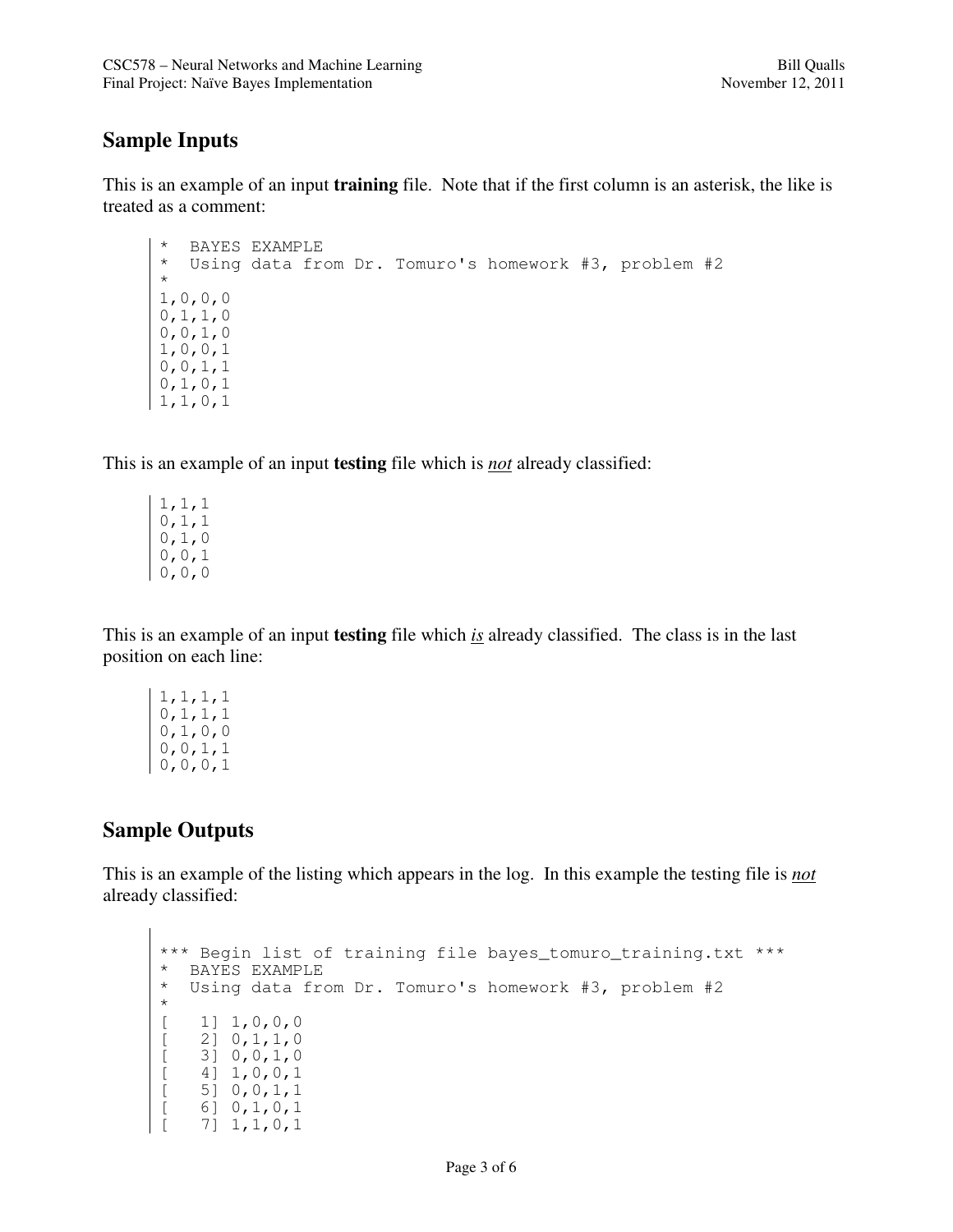### **Sample Inputs**

This is an example of an input **training** file. Note that if the first column is an asterisk, the like is treated as a comment:

```
* BAYES EXAMPLE<br>* Using data fr
    Using data from Dr. Tomuro's homework #3, problem #2
* 
1,0,0,0 
0,1,1,0 
0,0,1,0 
1,0,0,10,0,1,1 
0,1,0,1 
1,1,0,1
```
This is an example of an input **testing** file which is *not* already classified:

1,1,1  $0, 1, 1$ 0,1,0 0,0,1  $0, 0, 0$ 

This is an example of an input **testing** file which *is* already classified. The class is in the last position on each line:

1,1,1,1 0,1,1,1 0,1,0,0 0,0,1,1 0,0,0,1

## **Sample Outputs**

This is an example of the listing which appears in the log. In this example the testing file is *not* already classified:

```
*** Begin list of training file bayes tomuro training.txt ***
* BAYES EXAMPLE<br>* Using data fre
   Using data from Dr. Tomuro's homework #3, problem #2
* 
     1] 1,0,0,0[ 2] 0,1,1,0 
     [ 3] 0,0,1,0 
\begin{bmatrix} 4 & 1 & 0 & 0 & 1 \\ 5 & 0 & 0 & 1 & 1 \\ 6 & 0 & 1 & 0 & 1 \end{bmatrix}[ 5] 0,0,1,1 
      [ 6] 0, 1, 0, 1[ 7] 1,1,0,1
```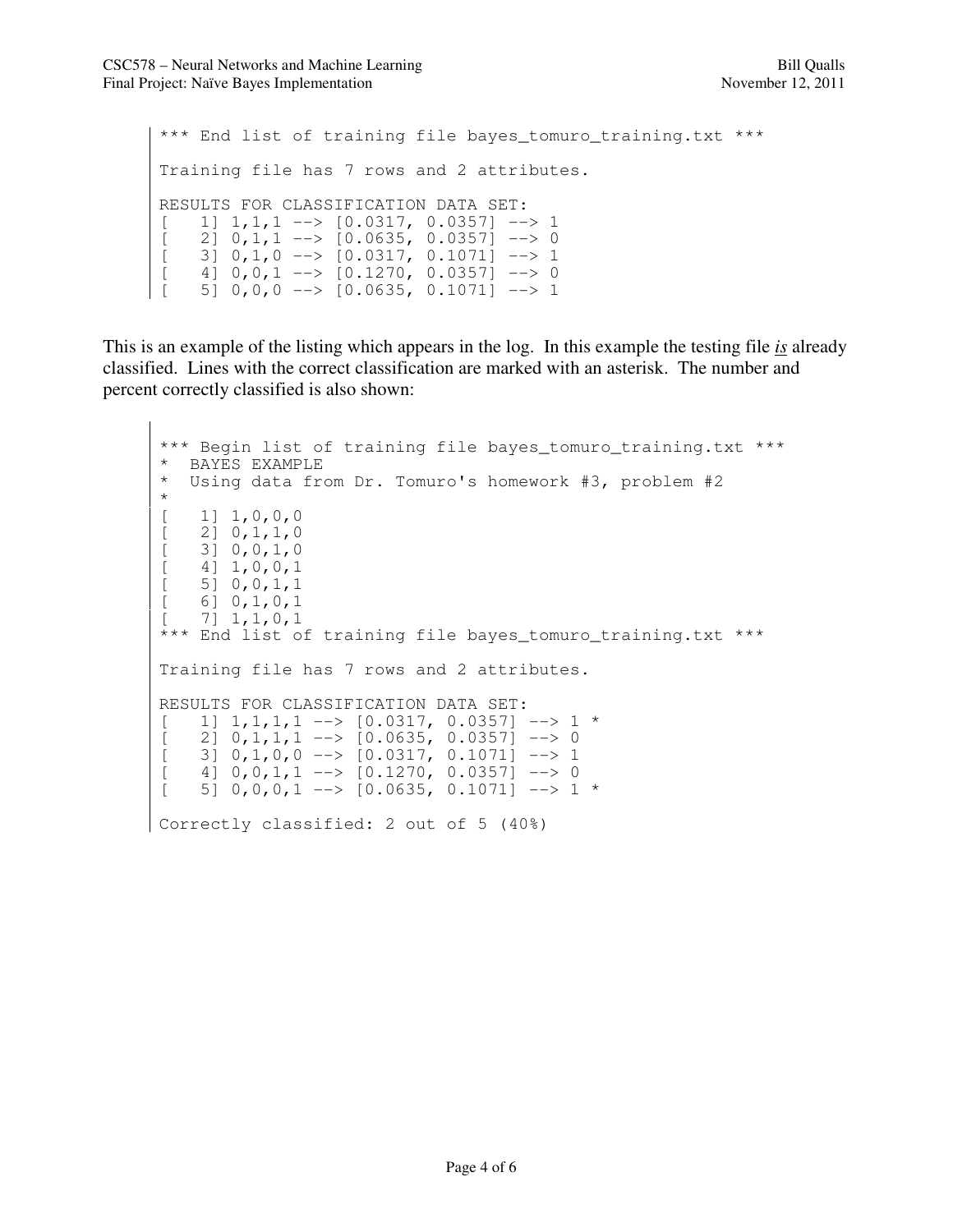```
*** End list of training file bayes_tomuro_training.txt *** 
Training file has 7 rows and 2 attributes. 
RESULTS FOR CLASSIFICATION DATA SET: 
[ 1] 1,1,1 --> [0.0317, 0.0357] --> 1
[ 2] 0,1,1 --> [0.0635, 0.0357] --> 0
[ 3] 0,1,0 --> [0.0317, 0.1071] --> 1
[ 4] 0, 0, 1 --> [0.1270, 0.0357] --> 0
[ 5] 0, 0, 0 --> [0.0635, 0.1071] --> 1
```
This is an example of the listing which appears in the log. In this example the testing file *is* already classified. Lines with the correct classification are marked with an asterisk. The number and percent correctly classified is also shown:

```
*** Begin list of training file bayes_tomuro_training.txt ***
* BAYES EXAMPLE<br>* Using data fr
   Using data from Dr. Tomuro's homework #3, problem #2
* 
[ 1] 1, 0, 0, 0[ 2] 0, 1, 1, 0[ 3] 0, 0, 1, 0[ 4] 1, 0, 0, 1[ 5] 0, 0, 1, 1[ 6] 0, 1, 0, 1[ 7] 1, 1, 0, 1*** End list of training file bayes tomuro training.txt ***
Training file has 7 rows and 2 attributes. 
RESULTS FOR CLASSIFICATION DATA SET: 
[ 1] 1, 1, 1, 1 --> [0.0317, 0.0357] --> 1 *
[ 2] 0,1,1,1 --> [0.0635, 0.0357] --> 0
[ 3] 0,1,0,0 --> [0.0317, 0.1071] --> 1
[ 4] 0, 0, 1, 1 --> [0.1270, 0.0357] --> 0
[ 5] 0,0,0,1 --> [0.0635, 0.1071] --> 1 *
Correctly classified: 2 out of 5 (40%)
```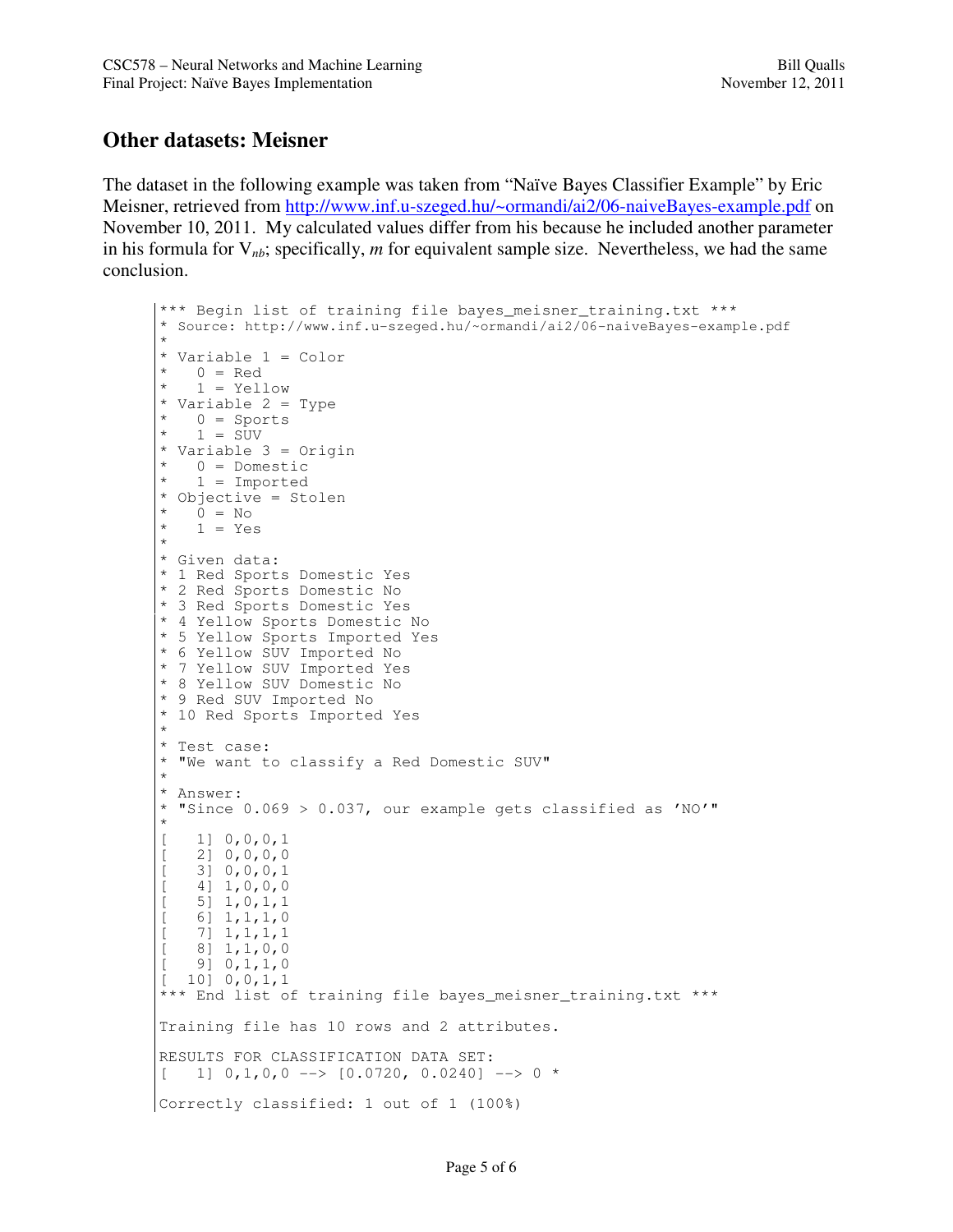### **Other datasets: Meisner**

The dataset in the following example was taken from "Naïve Bayes Classifier Example" by Eric Meisner, retrieved from http://www.inf.u-szeged.hu/~ormandi/ai2/06-naiveBayes-example.pdf on November 10, 2011. My calculated values differ from his because he included another parameter in his formula for  $V_{nb}$ ; specifically, *m* for equivalent sample size. Nevertheless, we had the same conclusion.

```
*** Begin list of training file bayes meisner training.txt ***
* Source: http://www.inf.u-szeged.hu/~ormandi/ai2/06-naiveBayes-example.pdf
* 
* Variable 1 = Color<br>* 0 = Red
  0 = Red1 = Yellow
* Variable 2 = Type 
   0 = Sports
  1 = SUV* Variable 3 = Origin 
   0 = Domestic
  1 = Imported
* Objective = Stolen 
   0 = No1 = Yes* 
* Given data: 
* 1 Red Sports Domestic Yes 
* 2 Red Sports Domestic No 
* 3 Red Sports Domestic Yes 
* 4 Yellow Sports Domestic No 
* 5 Yellow Sports Imported Yes 
* 6 Yellow SUV Imported No 
* 7 Yellow SUV Imported Yes 
* 8 Yellow SUV Domestic No 
* 9 Red SUV Imported No 
* 10 Red Sports Imported Yes 
* 
* Test case: 
* "We want to classify a Red Domestic SUV" 
* 
* Answer: 
* "Since 0.069 > 0.037, our example gets classified as 'NO'" 
* 
[ 1] 0, 0, 0, 1[ 2] 0, 0, 0, 0[ 3] 0,0,0,1 
[ 4] 1, 0, 0, 0[ 5] 1, 0, 1, 16] 1,1,1,0
   [ 7] 1,1,1,1 
   [ 8] 1,1,0,0 
   [ 9] 0,1,1,0 
   [10] 0,0,1,1
*** End list of training file bayes_meisner_training.txt *** 
Training file has 10 rows and 2 attributes. 
RESULTS FOR CLASSIFICATION DATA SET: 
[ 1] 0,1,0,0 \longrightarrow [0.0720, 0.0240] --> 0 *
Correctly classified: 1 out of 1 (100%)
```